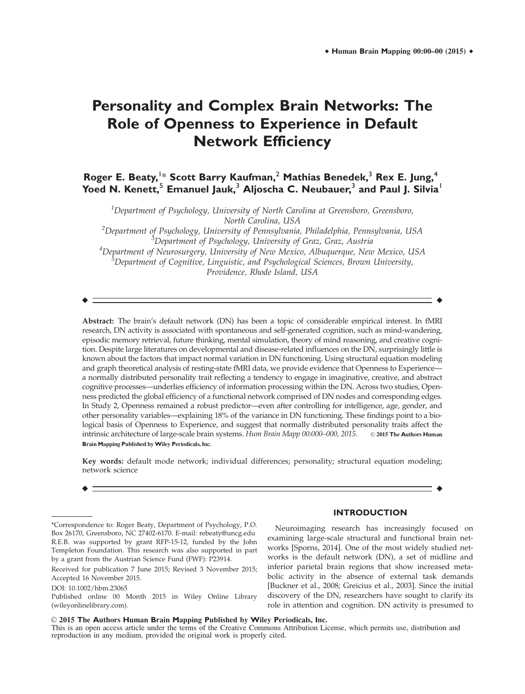# **Personality and Complex Brain Networks: The Role of Openness to Experience in Default Network Efficiency**

## **Roger E. Beaty,**<sup>1</sup> \* **Scott Barry Kaufman,**<sup>2</sup> **Mathias Benedek,**<sup>3</sup> **Rex E. Jung,**<sup>4</sup> **Yoed N. Kenett,<sup>5</sup> Emanuel Jauk,<sup>3</sup> Aljoscha C. Neubauer,<sup>3</sup> and Paul J. Silvia<sup>1</sup>**

 $^{\rm 1}$ Department of Psychology, University of North Carolina at Greensboro, Greensboro, North Carolina, USA

 $^2$ Department of Psychology, University of Pennsylvania, Philadelphia, Pennsylvania, USA <sup>3</sup>Department of Psychology, University of Graz, Graz, Austria 4 Department of Neurosurgery, University of New Mexico, Albuquerque, New Mexico, USA  $^5$ Department of Cognitive, Linguistic, and Psychological Sciences, Brown University, Providence, Rhode Island, USA

 $\bullet$  -contract to the contract of the contract of the contract of the contract of the contract of the contract of the contract of the contract of the contract of the contract of the contract of the contract of the contrac

Abstract: The brain's default network (DN) has been a topic of considerable empirical interest. In fMRI research, DN activity is associated with spontaneous and self-generated cognition, such as mind-wandering, episodic memory retrieval, future thinking, mental simulation, theory of mind reasoning, and creative cognition. Despite large literatures on developmental and disease-related influences on the DN, surprisingly little is known about the factors that impact normal variation in DN functioning. Using structural equation modeling and graph theoretical analysis of resting-state fMRI data, we provide evidence that Openness to Experience a normally distributed personality trait reflecting a tendency to engage in imaginative, creative, and abstract cognitive processes—underlies efficiency of information processing within the DN. Across two studies, Openness predicted the global efficiency of a functional network comprised of DN nodes and corresponding edges. In Study 2, Openness remained a robust predictor—even after controlling for intelligence, age, gender, and other personality variables—explaining 18% of the variance in DN functioning. These findings point to a biological basis of Openness to Experience, and suggest that normally distributed personality traits affect the intrinsic architecture of large-scale brain systems. Hum Brain Mapp 00:000–000, 2015. © 2015 The Authors Human **B**rain **M**apping **P**ublished by **W**iley **P**eriodicals, **I**nc.

Key words: default mode network; individual differences; personality; structural equation modeling; network science

r r

## **INTRODUCTION**

Neuroimaging research has increasingly focused on examining large-scale structural and functional brain networks [Sporns, 2014]. One of the most widely studied networks is the default network (DN), a set of midline and inferior parietal brain regions that show increased metabolic activity in the absence of external task demands [Buckner et al., 2008; Greicius et al., 2003]. Since the initial discovery of the DN, researchers have sought to clarify its role in attention and cognition. DN activity is presumed to

V<sup>C</sup> 2015 **T**he **A**uthors **H**uman **B**rain **M**apping **P**ublished by **W**iley **P**eriodicals, **I**nc. This is an open access article under the terms of the Creative Commons Attribution License, which permits use, distribution and reproduction in any medium, provided the original work is properly cited.

<sup>\*</sup>Correspondence to: Roger Beaty, Department of Psychology, P.O. Box 26170, Greensboro, NC 27402-6170. E-mail: rebeaty@uncg.edu R.E.B. was supported by grant RFP-15-12, funded by the John Templeton Foundation. This research was also supported in part by a grant from the Austrian Science Fund (FWF): P23914.

Received for publication 7 June 2015; Revised 3 November 2015; Accepted 16 November 2015.

DOI: 10.1002/hbm.23065

Published online 00 Month 2015 in Wiley Online Library (wileyonlinelibrary.com).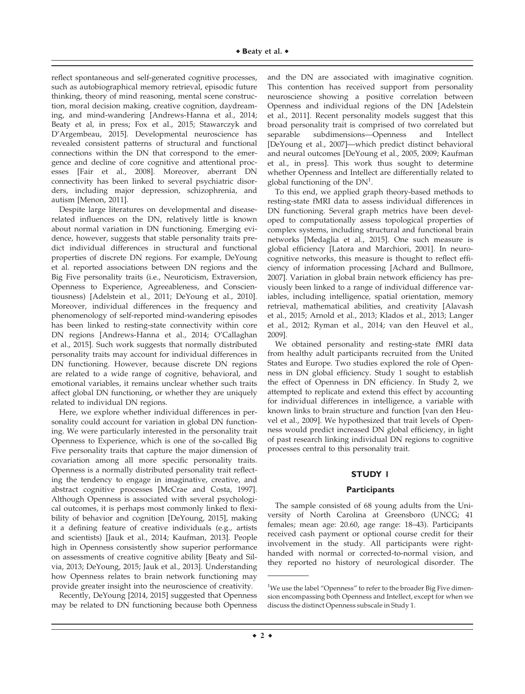reflect spontaneous and self-generated cognitive processes, such as autobiographical memory retrieval, episodic future thinking, theory of mind reasoning, mental scene construction, moral decision making, creative cognition, daydreaming, and mind-wandering [Andrews-Hanna et al., 2014; Beaty et al, in press; Fox et al., 2015; Stawarczyk and D'Argembeau, 2015]. Developmental neuroscience has revealed consistent patterns of structural and functional connections within the DN that correspond to the emergence and decline of core cognitive and attentional processes [Fair et al., 2008]. Moreover, aberrant DN connectivity has been linked to several psychiatric disorders, including major depression, schizophrenia, and autism [Menon, 2011].

Despite large literatures on developmental and diseaserelated influences on the DN, relatively little is known about normal variation in DN functioning. Emerging evidence, however, suggests that stable personality traits predict individual differences in structural and functional properties of discrete DN regions. For example, DeYoung et al. reported associations between DN regions and the Big Five personality traits (i.e., Neuroticism, Extraversion, Openness to Experience, Agreeableness, and Conscientiousness) [Adelstein et al., 2011; DeYoung et al., 2010]. Moreover, individual differences in the frequency and phenomenology of self-reported mind-wandering episodes has been linked to resting-state connectivity within core DN regions [Andrews-Hanna et al., 2014; O'Callaghan et al., 2015]. Such work suggests that normally distributed personality traits may account for individual differences in DN functioning. However, because discrete DN regions are related to a wide range of cognitive, behavioral, and emotional variables, it remains unclear whether such traits affect global DN functioning, or whether they are uniquely related to individual DN regions.

Here, we explore whether individual differences in personality could account for variation in global DN functioning. We were particularly interested in the personality trait Openness to Experience, which is one of the so-called Big Five personality traits that capture the major dimension of covariation among all more specific personality traits. Openness is a normally distributed personality trait reflecting the tendency to engage in imaginative, creative, and abstract cognitive processes [McCrae and Costa, 1997]. Although Openness is associated with several psychological outcomes, it is perhaps most commonly linked to flexibility of behavior and cognition [DeYoung, 2015], making it a defining feature of creative individuals (e.g., artists and scientists) [Jauk et al., 2014; Kaufman, 2013]. People high in Openness consistently show superior performance on assessments of creative cognitive ability [Beaty and Silvia, 2013; DeYoung, 2015; Jauk et al., 2013]. Understanding how Openness relates to brain network functioning may provide greater insight into the neuroscience of creativity.

Recently, DeYoung [2014, 2015] suggested that Openness may be related to DN functioning because both Openness and the DN are associated with imaginative cognition. This contention has received support from personality neuroscience showing a positive correlation between Openness and individual regions of the DN [Adelstein et al., 2011]. Recent personality models suggest that this broad personality trait is comprised of two correlated but separable subdimensions—Openness and Intellect [DeYoung et al., 2007]—which predict distinct behavioral and neural outcomes [DeYoung et al., 2005, 2009; Kaufman et al., in press]. This work thus sought to determine whether Openness and Intellect are differentially related to global functioning of the  $DN^1$ .

To this end, we applied graph theory-based methods to resting-state fMRI data to assess individual differences in DN functioning. Several graph metrics have been developed to computationally assess topological properties of complex systems, including structural and functional brain networks [Medaglia et al., 2015]. One such measure is global efficiency [Latora and Marchiori, 2001]. In neurocognitive networks, this measure is thought to reflect efficiency of information processing [Achard and Bullmore, 2007]. Variation in global brain network efficiency has previously been linked to a range of individual difference variables, including intelligence, spatial orientation, memory retrieval, mathematical abilities, and creativity [Alavash et al., 2015; Arnold et al., 2013; Klados et al., 2013; Langer et al., 2012; Ryman et al., 2014; van den Heuvel et al., 2009].

We obtained personality and resting-state fMRI data from healthy adult participants recruited from the United States and Europe. Two studies explored the role of Openness in DN global efficiency. Study 1 sought to establish the effect of Openness in DN efficiency. In Study 2, we attempted to replicate and extend this effect by accounting for individual differences in intelligence, a variable with known links to brain structure and function [van den Heuvel et al., 2009]. We hypothesized that trait levels of Openness would predict increased DN global efficiency, in light of past research linking individual DN regions to cognitive processes central to this personality trait.

## **STUDY 1**

### **Participants**

The sample consisted of 68 young adults from the University of North Carolina at Greensboro (UNCG; 41 females; mean age: 20.60, age range: 18–43). Participants received cash payment or optional course credit for their involvement in the study. All participants were righthanded with normal or corrected-to-normal vision, and they reported no history of neurological disorder. The

<sup>&</sup>lt;sup>1</sup>We use the label "Openness" to refer to the broader Big Five dimension encompassing both Openness and Intellect, except for when we discuss the distinct Openness subscale in Study 1.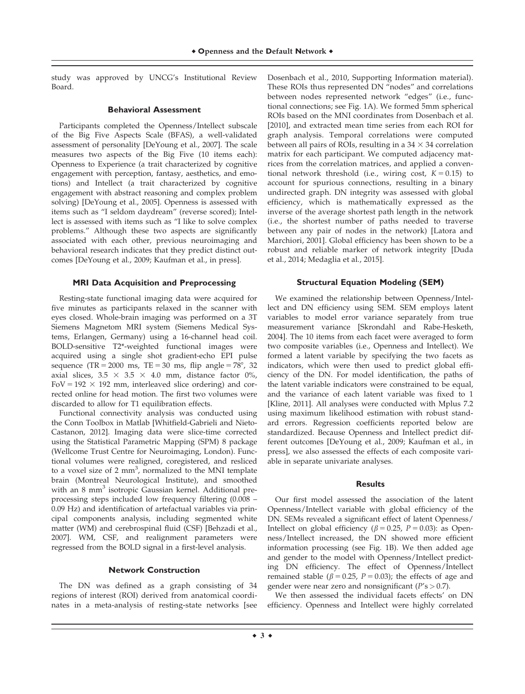study was approved by UNCG's Institutional Review Board.

## **Behavioral Assessment**

Participants completed the Openness/Intellect subscale of the Big Five Aspects Scale (BFAS), a well-validated assessment of personality [DeYoung et al., 2007]. The scale measures two aspects of the Big Five (10 items each): Openness to Experience (a trait characterized by cognitive engagement with perception, fantasy, aesthetics, and emotions) and Intellect (a trait characterized by cognitive engagement with abstract reasoning and complex problem solving) [DeYoung et al., 2005]. Openness is assessed with items such as "I seldom daydream" (reverse scored); Intellect is assessed with items such as "I like to solve complex problems." Although these two aspects are significantly associated with each other, previous neuroimaging and behavioral research indicates that they predict distinct outcomes [DeYoung et al., 2009; Kaufman et al., in press].

## **MRI Data Acquisition and Preprocessing**

Resting-state functional imaging data were acquired for five minutes as participants relaxed in the scanner with eyes closed. Whole-brain imaging was performed on a 3T Siemens Magnetom MRI system (Siemens Medical Systems, Erlangen, Germany) using a 16-channel head coil. BOLD-sensitive T2\*-weighted functional images were acquired using a single shot gradient-echo EPI pulse sequence (TR = 2000 ms, TE = 30 ms, flip angle =  $78^{\circ}$ , 32 axial slices,  $3.5 \times 3.5 \times 4.0$  mm, distance factor 0%,  $FoV = 192 \times 192$  mm, interleaved slice ordering) and corrected online for head motion. The first two volumes were discarded to allow for T1 equilibration effects.

Functional connectivity analysis was conducted using the Conn Toolbox in Matlab [Whitfield-Gabrieli and Nieto-Castanon, 2012]. Imaging data were slice-time corrected using the Statistical Parametric Mapping (SPM) 8 package (Wellcome Trust Centre for Neuroimaging, London). Functional volumes were realigned, coregistered, and resliced to a voxel size of 2 mm<sup>3</sup>, normalized to the MNI template brain (Montreal Neurological Institute), and smoothed with an 8 mm<sup>3</sup> isotropic Gaussian kernel. Additional preprocessing steps included low frequency filtering (0.008 – 0.09 Hz) and identification of artefactual variables via principal components analysis, including segmented white matter (WM) and cerebrospinal fluid (CSF) [Behzadi et al., 2007]. WM, CSF, and realignment parameters were regressed from the BOLD signal in a first-level analysis.

## **Network Construction**

The DN was defined as a graph consisting of 34 regions of interest (ROI) derived from anatomical coordinates in a meta-analysis of resting-state networks [see Dosenbach et al., 2010, Supporting Information material). These ROIs thus represented DN "nodes" and correlations between nodes represented network "edges" (i.e., functional connections; see Fig. 1A). We formed 5mm spherical ROIs based on the MNI coordinates from Dosenbach et al. [2010], and extracted mean time series from each ROI for graph analysis. Temporal correlations were computed between all pairs of ROIs, resulting in a  $34 \times 34$  correlation matrix for each participant. We computed adjacency matrices from the correlation matrices, and applied a conventional network threshold (i.e., wiring cost,  $K = 0.15$ ) to account for spurious connections, resulting in a binary undirected graph. DN integrity was assessed with global efficiency, which is mathematically expressed as the inverse of the average shortest path length in the network (i.e., the shortest number of paths needed to traverse between any pair of nodes in the network) [Latora and Marchiori, 2001]. Global efficiency has been shown to be a robust and reliable marker of network integrity [Duda et al., 2014; Medaglia et al., 2015].

## **Structural Equation Modeling (SEM)**

We examined the relationship between Openness/Intellect and DN efficiency using SEM. SEM employs latent variables to model error variance separately from true measurement variance [Skrondahl and Rabe-Hesketh, 2004]. The 10 items from each facet were averaged to form two composite variables (i.e., Openness and Intellect). We formed a latent variable by specifying the two facets as indicators, which were then used to predict global efficiency of the DN. For model identification, the paths of the latent variable indicators were constrained to be equal, and the variance of each latent variable was fixed to 1 [Kline, 2011]. All analyses were conducted with Mplus 7.2 using maximum likelihood estimation with robust standard errors. Regression coefficients reported below are standardized. Because Openness and Intellect predict different outcomes [DeYoung et al., 2009; Kaufman et al., in press], we also assessed the effects of each composite variable in separate univariate analyses.

## **Results**

Our first model assessed the association of the latent Openness/Intellect variable with global efficiency of the DN. SEMs revealed a significant effect of latent Openness/ Intellect on global efficiency ( $\beta = 0.25$ ,  $P = 0.03$ ): as Openness/Intellect increased, the DN showed more efficient information processing (see Fig. 1B). We then added age and gender to the model with Openness/Intellect predicting DN efficiency. The effect of Openness/Intellect remained stable ( $\beta$  = 0.25, P = 0.03); the effects of age and gender were near zero and nonsignificant ( $P's > 0.7$ ).

We then assessed the individual facets effects' on DN efficiency. Openness and Intellect were highly correlated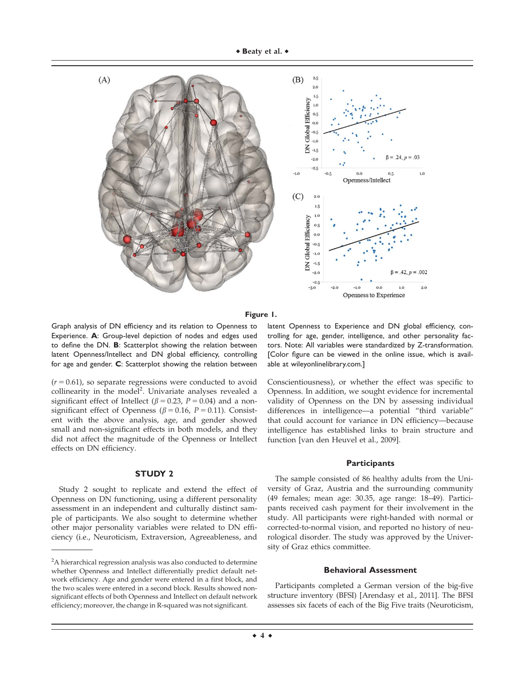

#### **Figure 1.**

Graph analysis of DN efficiency and its relation to Openness to Experience. **A**: Group-level depiction of nodes and edges used to define the DN. **B**: Scatterplot showing the relation between latent Openness/Intellect and DN global efficiency, controlling for age and gender. **C**: Scatterplot showing the relation between

 $(r = 0.61)$ , so separate regressions were conducted to avoid collinearity in the model<sup>2</sup>. Univariate analyses revealed a significant effect of Intellect ( $\beta = 0.23$ ,  $P = 0.04$ ) and a nonsignificant effect of Openness ( $\beta$  = 0.16, P = 0.11). Consistent with the above analysis, age, and gender showed small and non-significant effects in both models, and they did not affect the magnitude of the Openness or Intellect effects on DN efficiency.

## **STUDY 2**

Study 2 sought to replicate and extend the effect of Openness on DN functioning, using a different personality assessment in an independent and culturally distinct sample of participants. We also sought to determine whether other major personality variables were related to DN efficiency (i.e., Neuroticism, Extraversion, Agreeableness, and

latent Openness to Experience and DN global efficiency, controlling for age, gender, intelligence, and other personality factors. Note: All variables were standardized by Z-transformation. [Color figure can be viewed in the online issue, which is available at [wileyonlinelibrary.com.](http://wileyonlinelibrary.com)]

Conscientiousness), or whether the effect was specific to Openness. In addition, we sought evidence for incremental validity of Openness on the DN by assessing individual differences in intelligence—a potential "third variable" that could account for variance in DN efficiency—because intelligence has established links to brain structure and function [van den Heuvel et al., 2009].

## **Participants**

The sample consisted of 86 healthy adults from the University of Graz, Austria and the surrounding community (49 females; mean age: 30.35, age range: 18–49). Participants received cash payment for their involvement in the study. All participants were right-handed with normal or corrected-to-normal vision, and reported no history of neurological disorder. The study was approved by the University of Graz ethics committee.

#### **Behavioral Assessment**

Participants completed a German version of the big-five structure inventory (BFSI) [Arendasy et al., 2011]. The BFSI assesses six facets of each of the Big Five traits (Neuroticism,

 $2A$  hierarchical regression analysis was also conducted to determine whether Openness and Intellect differentially predict default network efficiency. Age and gender were entered in a first block, and the two scales were entered in a second block. Results showed nonsignificant effects of both Openness and Intellect on default network efficiency; moreover, the change in R-squared was not significant.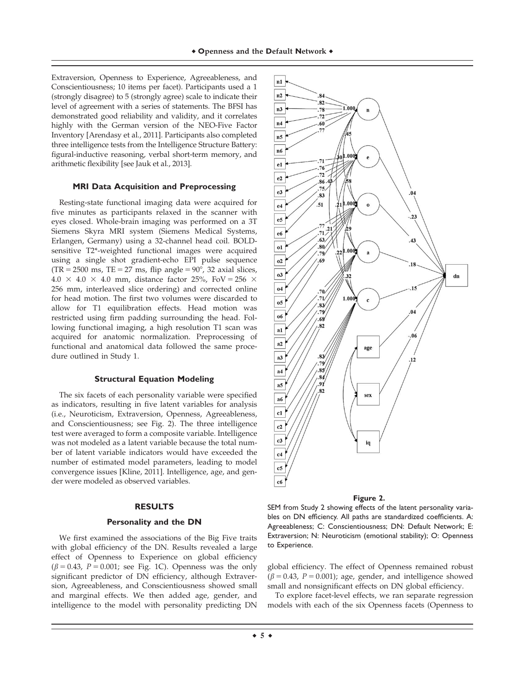Extraversion, Openness to Experience, Agreeableness, and Conscientiousness; 10 items per facet). Participants used a 1 (strongly disagree) to 5 (strongly agree) scale to indicate their level of agreement with a series of statements. The BFSI has demonstrated good reliability and validity, and it correlates highly with the German version of the NEO-Five Factor Inventory [Arendasy et al., 2011]. Participants also completed three intelligence tests from the Intelligence Structure Battery: figural-inductive reasoning, verbal short-term memory, and arithmetic flexibility [see Jauk et al., 2013].

#### **MRI Data Acquisition and Preprocessing**

Resting-state functional imaging data were acquired for five minutes as participants relaxed in the scanner with eyes closed. Whole-brain imaging was performed on a 3T Siemens Skyra MRI system (Siemens Medical Systems, Erlangen, Germany) using a 32-channel head coil. BOLDsensitive T2\*-weighted functional images were acquired using a single shot gradient-echo EPI pulse sequence  $(TR = 2500 \text{ ms}, TE = 27 \text{ ms}, flip angle = 90^{\circ}, 32 \text{ axial slices},$  $4.0 \times 4.0 \times 4.0$  mm, distance factor 25%, FoV = 256  $\times$ 256 mm, interleaved slice ordering) and corrected online for head motion. The first two volumes were discarded to allow for T1 equilibration effects. Head motion was restricted using firm padding surrounding the head. Following functional imaging, a high resolution T1 scan was acquired for anatomic normalization. Preprocessing of functional and anatomical data followed the same procedure outlined in Study 1.

## **Structural Equation Modeling**

The six facets of each personality variable were specified as indicators, resulting in five latent variables for analysis (i.e., Neuroticism, Extraversion, Openness, Agreeableness, and Conscientiousness; see Fig. 2). The three intelligence test were averaged to form a composite variable. Intelligence was not modeled as a latent variable because the total number of latent variable indicators would have exceeded the number of estimated model parameters, leading to model convergence issues [Kline, 2011]. Intelligence, age, and gender were modeled as observed variables.

## **RESULTS**

#### **Personality and the DN**

We first examined the associations of the Big Five traits with global efficiency of the DN. Results revealed a large effect of Openness to Experience on global efficiency  $(\beta = 0.43, P = 0.001;$  see Fig. 1C). Openness was the only significant predictor of DN efficiency, although Extraversion, Agreeableness, and Conscientiousness showed small and marginal effects. We then added age, gender, and intelligence to the model with personality predicting DN



#### **Figure 2.**

SEM from Study 2 showing effects of the latent personality variables on DN efficiency. All paths are standardized coefficients. A: Agreeableness; C: Conscientiousness; DN: Default Network; E: Extraversion; N: Neuroticism (emotional stability); O: Openness to Experience.

global efficiency. The effect of Openness remained robust  $(\beta = 0.43, P = 0.001)$ ; age, gender, and intelligence showed small and nonsignificant effects on DN global efficiency.

To explore facet-level effects, we ran separate regression models with each of the six Openness facets (Openness to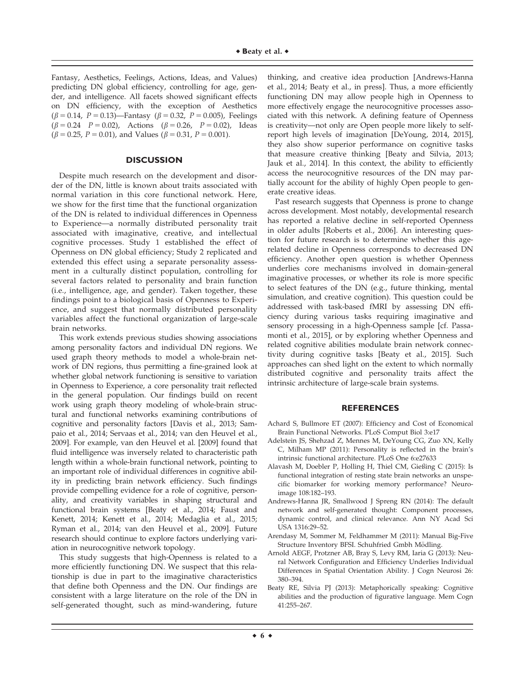Fantasy, Aesthetics, Feelings, Actions, Ideas, and Values) predicting DN global efficiency, controlling for age, gender, and intelligence. All facets showed significant effects on DN efficiency, with the exception of Aesthetics ( $\beta$  = 0.14, P = 0.13)—Fantasy ( $\beta$  = 0.32, P = 0.005), Feelings  $(\beta = 0.24 \quad P = 0.02)$ , Actions  $(\beta = 0.26, \quad P = 0.02)$ , Ideas  $(\beta = 0.25, P = 0.01)$ , and Values ( $\beta = 0.31, P = 0.001$ ).

## **DISCUSSION**

Despite much research on the development and disorder of the DN, little is known about traits associated with normal variation in this core functional network. Here, we show for the first time that the functional organization of the DN is related to individual differences in Openness to Experience—a normally distributed personality trait associated with imaginative, creative, and intellectual cognitive processes. Study 1 established the effect of Openness on DN global efficiency; Study 2 replicated and extended this effect using a separate personality assessment in a culturally distinct population, controlling for several factors related to personality and brain function (i.e., intelligence, age, and gender). Taken together, these findings point to a biological basis of Openness to Experience, and suggest that normally distributed personality variables affect the functional organization of large-scale brain networks.

This work extends previous studies showing associations among personality factors and individual DN regions. We used graph theory methods to model a whole-brain network of DN regions, thus permitting a fine-grained look at whether global network functioning is sensitive to variation in Openness to Experience, a core personality trait reflected in the general population. Our findings build on recent work using graph theory modeling of whole-brain structural and functional networks examining contributions of cognitive and personality factors [Davis et al., 2013; Sampaio et al., 2014; Servaas et al., 2014; van den Heuvel et al., 2009]. For example, van den Heuvel et al. [2009] found that fluid intelligence was inversely related to characteristic path length within a whole-brain functional network, pointing to an important role of individual differences in cognitive ability in predicting brain network efficiency. Such findings provide compelling evidence for a role of cognitive, personality, and creativity variables in shaping structural and functional brain systems [Beaty et al., 2014; Faust and Kenett, 2014; Kenett et al., 2014; Medaglia et al., 2015; Ryman et al., 2014; van den Heuvel et al., 2009]. Future research should continue to explore factors underlying variation in neurocognitive network topology.

This study suggests that high-Openness is related to a more efficiently functioning DN. We suspect that this relationship is due in part to the imaginative characteristics that define both Openness and the DN. Our findings are consistent with a large literature on the role of the DN in self-generated thought, such as mind-wandering, future thinking, and creative idea production [Andrews-Hanna et al., 2014; Beaty et al., in press]. Thus, a more efficiently functioning DN may allow people high in Openness to more effectively engage the neurocognitive processes associated with this network. A defining feature of Openness is creativity—not only are Open people more likely to selfreport high levels of imagination [DeYoung, 2014, 2015], they also show superior performance on cognitive tasks that measure creative thinking [Beaty and Silvia, 2013; Jauk et al., 2014]. In this context, the ability to efficiently access the neurocognitive resources of the DN may partially account for the ability of highly Open people to generate creative ideas.

Past research suggests that Openness is prone to change across development. Most notably, developmental research has reported a relative decline in self-reported Openness in older adults [Roberts et al., 2006]. An interesting question for future research is to determine whether this agerelated decline in Openness corresponds to decreased DN efficiency. Another open question is whether Openness underlies core mechanisms involved in domain-general imaginative processes, or whether its role is more specific to select features of the DN (e.g., future thinking, mental simulation, and creative cognition). This question could be addressed with task-based fMRI by assessing DN efficiency during various tasks requiring imaginative and sensory processing in a high-Openness sample [cf. Passamonti et al., 2015], or by exploring whether Openness and related cognitive abilities modulate brain network connectivity during cognitive tasks [Beaty et al., 2015]. Such approaches can shed light on the extent to which normally distributed cognitive and personality traits affect the intrinsic architecture of large-scale brain systems.

## **REFERENCES**

- Achard S, Bullmore ET (2007): Efficiency and Cost of Economical Brain Functional Networks. PLoS Comput Biol 3:e17
- Adelstein JS, Shehzad Z, Mennes M, DeYoung CG, Zuo XN, Kelly C, Milham MP (2011): Personality is reflected in the brain's intrinsic functional architecture. PLoS One 6:e27633
- Alavash M, Doebler P, Holling H, Thiel CM, Gießing C (2015): Is functional integration of resting state brain networks an unspecific biomarker for working memory performance? Neuroimage 108:182–193.
- Andrews-Hanna JR, Smallwood J Spreng RN (2014): The default network and self-generated thought: Component processes, dynamic control, and clinical relevance. Ann NY Acad Sci USA 1316:29–52.
- Arendasy M, Sommer M, Feldhammer M (2011): Manual Big-Five Structure Inventory BFSI. Schuhfried Gmbh Mödling.
- Arnold AEGF, Protzner AB, Bray S, Levy RM, Iaria G (2013): Neural Network Configuration and Efficiency Underlies Individual Differences in Spatial Orientation Ability. J Cogn Neurosi 26: 380–394.
- Beaty RE, Silvia PJ (2013): Metaphorically speaking: Cognitive abilities and the production of figurative language. Mem Cogn 41:255–267.